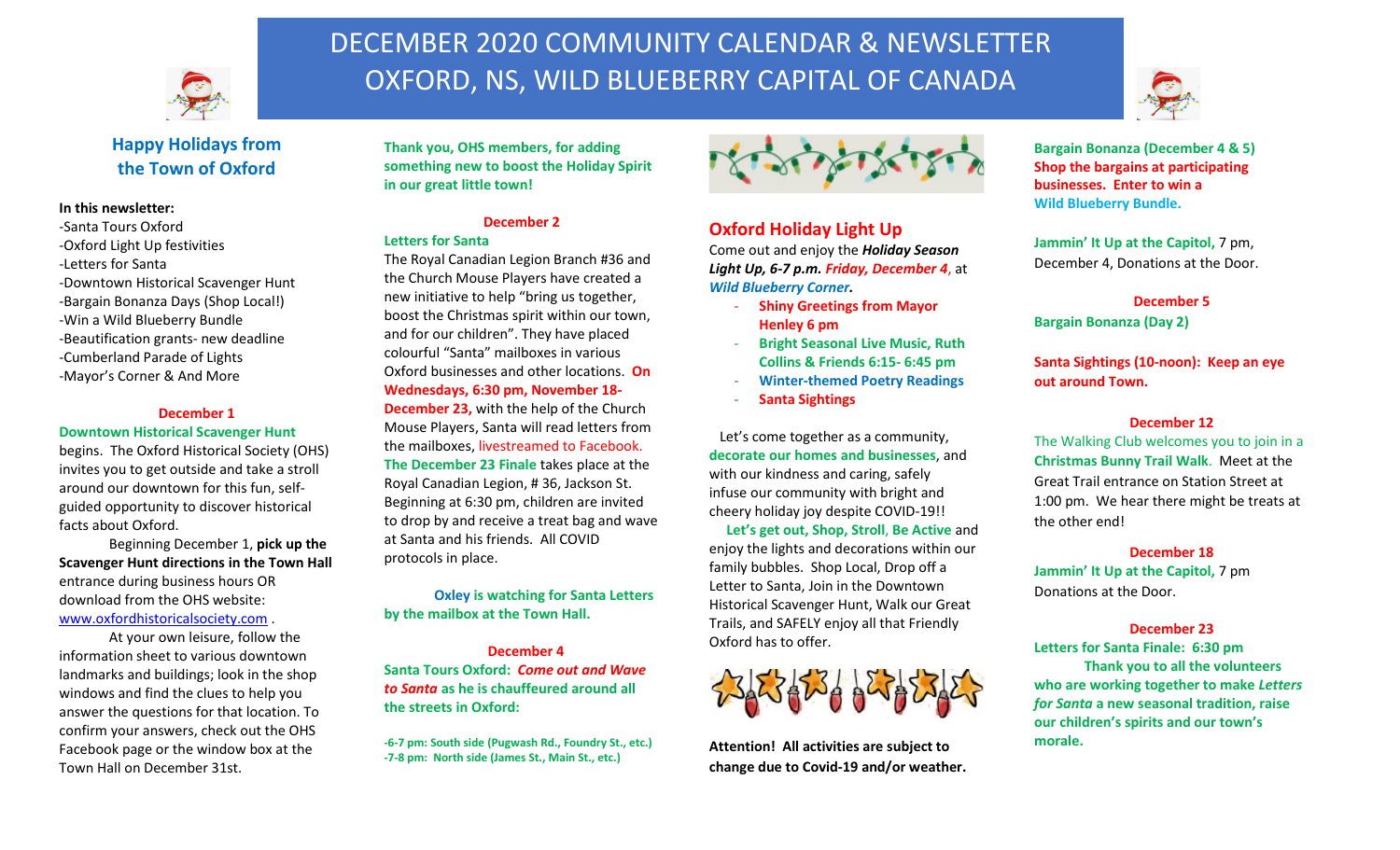

# DECEMBER 2020 COMMUNITY CALENDAR & NEWSLETTER OXFORD, NS, WILD BLUEBERRY CAPITAL OF CANADA



## **Happy Holidays from the Town of Oxford**

#### **In this newsletter:**

-Santa Tours Oxford -Oxford Light Up festivities -Letters for Santa -Downtown Historical Scavenger Hunt -Bargain Bonanza Days (Shop Local!) -Win a Wild Blueberry Bundle -Beautification grants- new deadline -Cumberland Parade of Lights -Mayor's Corner & And More

#### **December 1**

**Downtown Historical Scavenger Hunt**

begins. The Oxford Historical Society (OHS) invites you to get outside and take a stroll around our downtown for this fun, selfguided opportunity to discover historical facts about Oxford.

Beginning December 1, **pick up the Scavenger Hunt directions in the Town Hall** entrance during business hours OR download from the OHS website: [www.oxfordhistoricalsociety.com](http://www.oxfordhistoricalsociety.com/) .

At your own leisure, follow the information sheet to various downtown landmarks and buildings; look in the shop windows and find the clues to help you answer the questions for that location. To confirm your answers, check out the OHS Facebook page or the window box at the Town Hall on December 31st.

**Thank you, OHS members, for adding something new to boost the Holiday Spirit in our great little town!**

#### **December 2**

#### **Letters for Santa**

The Royal Canadian Legion Branch #36 and the Church Mouse Players have created a new initiative to help "bring us together, boost the Christmas spirit within our town, and for our children". They have placed colourful "Santa" mailboxes in various Oxford businesses and other locations. **On Wednesdays, 6:30 pm, November 18- December 23,** with the help of the Church Mouse Players, Santa will read letters from the mailboxes, livestreamed to Facebook. **The December 23 Finale** takes place at the Royal Canadian Legion, # 36, Jackson St. Beginning at 6:30 pm, children are invited

to drop by and receive a treat bag and wave at Santa and his friends. All COVID protocols in place.

**Oxley is watching for Santa Letters by the mailbox at the Town Hall.**

**December 4 Santa Tours Oxford:** *Come out and Wave to Santa* **as he is chauffeured around all the streets in Oxford:**

**-6-7 pm: South side (Pugwash Rd., Foundry St., etc.) -7-8 pm: North side (James St., Main St., etc.)**



## **Oxford Holiday Light Up**

Come out and enjoy the *Holiday Season Light Up, 6-7 p.m. Friday, December 4*, at *Wild Blueberry Corner.*

- **Shiny Greetings from Mayor Henley 6 pm**
- **Bright Seasonal Live Music, Ruth Collins & Friends 6:15- 6:45 pm**
- **Winter-themed Poetry Readings**
- **Santa Sightings**

 Let's come together as a community, **decorate our homes and businesses**, and with our kindness and caring, safely infuse our community with bright and cheery holiday joy despite COVID-19!!  **Let's get out, Shop, Stroll**, **Be Active** and enjoy the lights and decorations within our family bubbles. Shop Local, Drop off a Letter to Santa, Join in the Downtown

Historical Scavenger Hunt, Walk our Great Trails, and SAFELY enjoy all that Friendly Oxford has to offer.



**Attention! All activities are subject to change due to Covid-19 and/or weather.**

**Bargain Bonanza (December 4 & 5) Shop the bargains at participating businesses. Enter to win a Wild Blueberry Bundle.**

**Jammin' It Up at the Capitol,** 7 pm, December 4, Donations at the Door.

**December 5**

**Bargain Bonanza (Day 2)**

**Santa Sightings (10-noon): Keep an eye out around Town.**

#### **December 12**

The Walking Club welcomes you to join in a **Christmas Bunny Trail Walk**. Meet at the Great Trail entrance on Station Street at 1:00 pm. We hear there might be treats at the other end!

**December 18 Jammin' It Up at the Capitol,** 7 pm Donations at the Door.

#### **December 23**

**Letters for Santa Finale: 6:30 pm Thank you to all the volunteers who are working together to make** *Letters for Santa* **a new seasonal tradition, raise our children's spirits and our town's morale.**